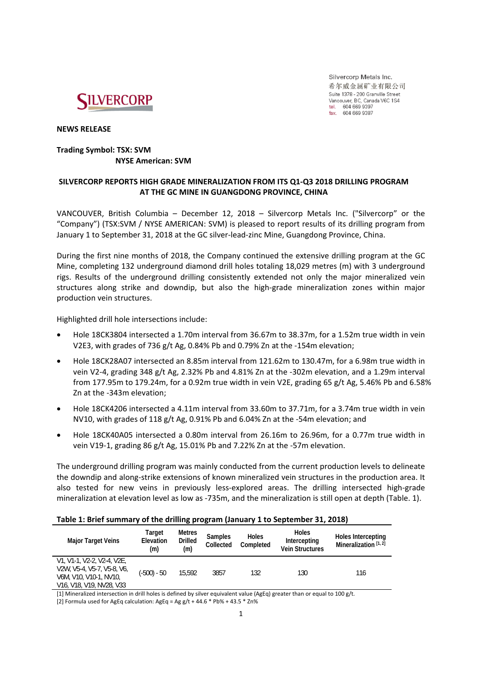

Silvercorp Metals Inc. 希尔威金属矿业有限公司 Suite 1378 - 200 Granville Street Vancouver, BC, Canada V6C 1S4 tel. 604 669 9397 fax. 604 669 9387

**NEWS RELEASE**

## **Trading Symbol: TSX: SVM NYSE American: SVM**

# **SILVERCORP REPORTS HIGH GRADE MINERALIZATION FROM ITS Q1‐Q3 2018 DRILLING PROGRAM AT THE GC MINE IN GUANGDONG PROVINCE, CHINA**

VANCOUVER, British Columbia – December 12, 2018 – Silvercorp Metals Inc. ("Silvercorp" or the "Company") (TSX:SVM / NYSE AMERICAN: SVM) is pleased to report results of its drilling program from January 1 to September 31, 2018 at the GC silver‐lead‐zinc Mine, Guangdong Province, China.

During the first nine months of 2018, the Company continued the extensive drilling program at the GC Mine, completing 132 underground diamond drill holes totaling 18,029 metres (m) with 3 underground rigs. Results of the underground drilling consistently extended not only the major mineralized vein structures along strike and downdip, but also the high‐grade mineralization zones within major production vein structures.

Highlighted drill hole intersections include:

- Hole 18CK3804 intersected a 1.70m interval from 36.67m to 38.37m, for a 1.52m true width in vein V2E3, with grades of 736 g/t Ag, 0.84% Pb and 0.79% Zn at the ‐154m elevation;
- Hole 18CK28A07 intersected an 8.85m interval from 121.62m to 130.47m, for a 6.98m true width in vein V2‐4, grading 348 g/t Ag, 2.32% Pb and 4.81% Zn at the ‐302m elevation, and a 1.29m interval from 177.95m to 179.24m, for a 0.92m true width in vein V2E, grading 65 g/t Ag, 5.46% Pb and 6.58% Zn at the ‐343m elevation;
- Hole 18CK4206 intersected a 4.11m interval from 33.60m to 37.71m, for a 3.74m true width in vein NV10, with grades of 118 g/t Ag, 0.91% Pb and 6.04% Zn at the ‐54m elevation; and
- Hole 18CK40A05 intersected a 0.80m interval from 26.16m to 26.96m, for a 0.77m true width in vein V19-1, grading 86 g/t Ag, 15.01% Pb and 7.22% Zn at the -57m elevation.

The underground drilling program was mainly conducted from the current production levels to delineate the downdip and along‐strike extensions of known mineralized vein structures in the production area. It also tested for new veins in previously less-explored areas. The drilling intersected high-grade mineralization at elevation level as low as ‐735m, and the mineralization is still open at depth (Table. 1).

### **Table 1: Brief summary of the drilling program (January 1 to September 31, 2018)**

| <b>Major Target Veins</b>                                                                                                                                                      | Target<br>Elevation<br>(m) | Metres<br><b>Drilled</b><br>(m) | <b>Samples</b><br>Collected | <b>Holes</b><br>Completed | <b>Holes</b><br>Intercepting<br><b>Vein Structures</b> | Holes Intercepting<br>Mineralization $[1, 2]$ |
|--------------------------------------------------------------------------------------------------------------------------------------------------------------------------------|----------------------------|---------------------------------|-----------------------------|---------------------------|--------------------------------------------------------|-----------------------------------------------|
| V1, V1-1, V2-2, V2-4, V2E,<br>V2W, V5-4, V5-7, V5-8, V6,<br>V6M, V10, V10-1, NV10,<br>V <sub>16</sub> , V <sub>18</sub> , V <sub>19</sub> , NV <sub>28</sub> , V <sub>33</sub> | (-500) - 50                | 15.592                          | 3857                        | 132                       | 130                                                    | 116                                           |

[1] Mineralized intersection in drill holes is defined by silver equivalent value (AgEq) greater than or equal to 100 g/t.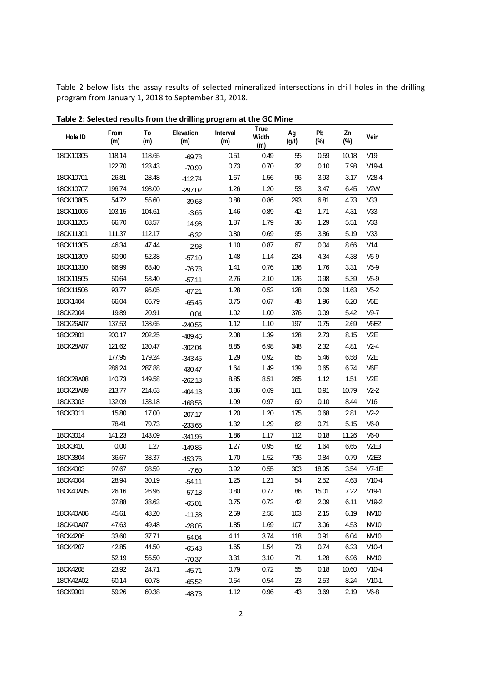Table 2 below lists the assay results of selected mineralized intersections in drill holes in the drilling program from January 1, 2018 to September 31, 2018.

| Hole ID   | From<br>(m) | To<br>(m) | Elevation<br>(m) | Interval<br>(m) | True<br>Width<br>(m) | Ag<br>(g/t) | Pb<br>$(\%)$ | Zn<br>$(\%)$ | Vein             |
|-----------|-------------|-----------|------------------|-----------------|----------------------|-------------|--------------|--------------|------------------|
| 18CK10305 | 118.14      | 118.65    | $-69.78$         | 0.51            | 0.49                 | 55          | 0.59         | 10.18        | V19              |
|           | 122.70      | 123.43    | $-70.99$         | 0.73            | 0.70                 | 32          | 0.10         | 7.98         | $V19-4$          |
| 18CK10701 | 26.81       | 28.48     | $-112.74$        | 1.67            | 1.56                 | 96          | 3.93         | 3.17         | $V28-4$          |
| 18CK10707 | 196.74      | 198.00    | $-297.02$        | 1.26            | 1.20                 | 53          | 3.47         | 6.45         | V <sub>2</sub> W |
| 18CK10805 | 54.72       | 55.60     | 39.63            | 0.88            | 0.86                 | 293         | 6.81         | 4.73         | V33              |
| 18CK11006 | 103.15      | 104.61    | $-3.65$          | 1.46            | 0.89                 | 42          | 1.71         | 4.31         | V33              |
| 18CK11205 | 66.70       | 68.57     | 14.98            | 1.87            | 1.79                 | 36          | 1.29         | 5.51         | V33              |
| 18CK11301 | 111.37      | 112.17    | $-6.32$          | 0.80            | 0.69                 | 95          | 3.86         | 5.19         | V33              |
| 18CK11305 | 46.34       | 47.44     | 2.93             | 1.10            | 0.87                 | 67          | 0.04         | 8.66         | V14              |
| 18CK11309 | 50.90       | 52.38     | $-57.10$         | 1.48            | 1.14                 | 224         | 4.34         | 4.38         | $V5-9$           |
| 18CK11310 | 66.99       | 68.40     | $-76.78$         | 1.41            | 0.76                 | 136         | 1.76         | 3.31         | $V5-9$           |
| 18CK11505 | 50.64       | 53.40     | $-57.11$         | 2.76            | 2.10                 | 126         | 0.98         | 5.39         | $V5-9$           |
| 18CK11506 | 93.77       | 95.05     | $-87.21$         | 1.28            | 0.52                 | 128         | 0.09         | 11.63        | $V5-2$           |
| 18CK1404  | 66.04       | 66.79     | $-65.45$         | 0.75            | 0.67                 | 48          | 1.96         | 6.20         | V6E              |
| 18CK2004  | 19.89       | 20.91     | 0.04             | 1.02            | 1.00                 | 376         | 0.09         | 5.42         | $V9-7$           |
| 18CK26A07 | 137.53      | 138.65    | $-240.55$        | 1.12            | 1.10                 | 197         | 0.75         | 2.69         | <b>V6E2</b>      |
| 18CK2801  | 200.17      | 202.25    | $-489.46$        | 2.08            | 1.39                 | 128         | 2.73         | 8.15         | V <sub>2</sub> E |
| 18CK28A07 | 121.62      | 130.47    | $-302.04$        | 8.85            | 6.98                 | 348         | 2.32         | 4.81         | $V2-4$           |
|           | 177.95      | 179.24    | $-343.45$        | 1.29            | 0.92                 | 65          | 5.46         | 6.58         | V <sub>2</sub> E |
|           | 286.24      | 287.88    | $-430.47$        | 1.64            | 1.49                 | 139         | 0.65         | 6.74         | V6E              |
| 18CK28A08 | 140.73      | 149.58    | $-262.13$        | 8.85            | 8.51                 | 265         | 1.12         | 1.51         | V <sub>2</sub> E |
| 18CK28A09 | 213.77      | 214.63    | $-404.13$        | 0.86            | 0.69                 | 161         | 0.91         | 10.79        | $V2-2$           |
| 18CK3003  | 132.09      | 133.18    | $-168.56$        | 1.09            | 0.97                 | 60          | 0.10         | 8.44         | V16              |
| 18CK3011  | 15.80       | 17.00     | $-207.17$        | 1.20            | 1.20                 | 175         | 0.68         | 2.81         | $V2-2$           |
|           | 78.41       | 79.73     | $-233.65$        | 1.32            | 1.29                 | 62          | 0.71         | 5.15         | $V6-0$           |
| 18CK3014  | 141.23      | 143.09    | $-341.95$        | 1.86            | 1.17                 | 112         | 0.18         | 11.26        | $V6-0$           |
| 18CK3410  | 0.00        | 1.27      | $-149.85$        | 1.27            | 0.95                 | 82          | 1.64         | 6.65         | V <sub>2E3</sub> |
| 18CK3804  | 36.67       | 38.37     | $-153.76$        | 1.70            | 1.52                 | 736         | 0.84         | 0.79         | V <sub>2E3</sub> |
| 18CK4003  | 97.67       | 98.59     | $-7.60$          | 0.92            | 0.55                 | 303         | 18.95        | 3.54         | $V7-1E$          |
| 18CK4004  | 28.94       | 30.19     | $-54.11$         | 1.25            | 1.21                 | 54          | 2.52         | 4.63         | $V10-4$          |
| 18CK40A05 | 26.16       | 26.96     | $-57.18$         | 0.80            | 0.77                 | 86          | 15.01        | 7.22         | $V19-1$          |
|           | 37.88       | 38.63     | $-65.01$         | 0.75            | 0.72                 | 42          | 2.09         | 6.11         | $V19-2$          |
| 18CK40A06 | 45.61       | 48.20     | $-11.38$         | 2.59            | 2.58                 | 103         | 2.15         | 6.19         | <b>NV10</b>      |
| 18CK40A07 | 47.63       | 49.48     | $-28.05$         | 1.85            | 1.69                 | 107         | 3.06         | 4.53         | NV10             |
| 18CK4206  | 33.60       | 37.71     | $-54.04$         | 4.11            | 3.74                 | 118         | 0.91         | 6.04         | <b>NV10</b>      |
| 18CK4207  | 42.85       | 44.50     | $-65.43$         | 1.65            | 1.54                 | 73          | 0.74         | 6.23         | $V10-4$          |
|           | 52.19       | 55.50     | $-70.37$         | 3.31            | 3.10                 | 71          | 1.28         | 6.96         | <b>NV10</b>      |
| 18CK4208  | 23.92       | 24.71     | $-45.71$         | 0.79            | 0.72                 | 55          | 0.18         | 10.60        | $V10-4$          |
| 18CK42A02 | 60.14       | 60.78     | $-65.52$         | 0.64            | 0.54                 | 23          | 2.53         | 8.24         | $V10-1$          |
| 18CK9901  | 59.26       | 60.38     | $-48.73$         | 1.12            | 0.96                 | 43          | 3.69         | 2.19         | $V6-8$           |

**Table 2: Selected results from the drilling program at the GC Mine**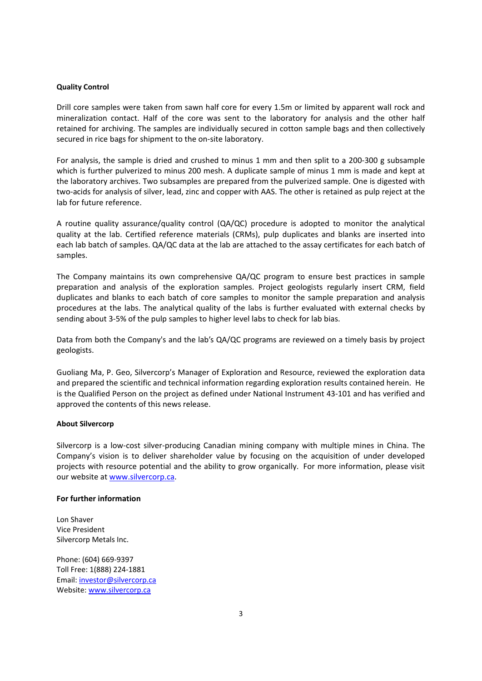#### **Quality Control**

Drill core samples were taken from sawn half core for every 1.5m or limited by apparent wall rock and mineralization contact. Half of the core was sent to the laboratory for analysis and the other half retained for archiving. The samples are individually secured in cotton sample bags and then collectively secured in rice bags for shipment to the on‐site laboratory.

For analysis, the sample is dried and crushed to minus 1 mm and then split to a 200‐300 g subsample which is further pulverized to minus 200 mesh. A duplicate sample of minus 1 mm is made and kept at the laboratory archives. Two subsamples are prepared from the pulverized sample. One is digested with two‐acids for analysis of silver, lead, zinc and copper with AAS. The other is retained as pulp reject at the lab for future reference.

A routine quality assurance/quality control (QA/QC) procedure is adopted to monitor the analytical quality at the lab. Certified reference materials (CRMs), pulp duplicates and blanks are inserted into each lab batch of samples. QA/QC data at the lab are attached to the assay certificates for each batch of samples.

The Company maintains its own comprehensive QA/QC program to ensure best practices in sample preparation and analysis of the exploration samples. Project geologists regularly insert CRM, field duplicates and blanks to each batch of core samples to monitor the sample preparation and analysis procedures at the labs. The analytical quality of the labs is further evaluated with external checks by sending about 3‐5% of the pulp samples to higher level labs to check for lab bias.

Data from both the Company's and the lab's QA/QC programs are reviewed on a timely basis by project geologists.

Guoliang Ma, P. Geo, Silvercorp's Manager of Exploration and Resource, reviewed the exploration data and prepared the scientific and technical information regarding exploration results contained herein. He is the Qualified Person on the project as defined under National Instrument 43‐101 and has verified and approved the contents of this news release.

#### **About Silvercorp**

Silvercorp is a low-cost silver-producing Canadian mining company with multiple mines in China. The Company's vision is to deliver shareholder value by focusing on the acquisition of under developed projects with resource potential and the ability to grow organically. For more information, please visit our website at www.silvercorp.ca.

### **For further information**

Lon Shaver Vice President Silvercorp Metals Inc.

Phone: (604) 669‐9397 Toll Free: 1(888) 224‐1881 Email: investor@silvercorp.ca Website: www.silvercorp.ca